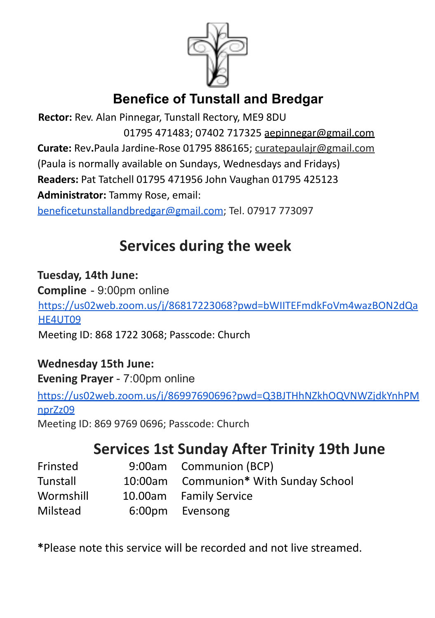

## **Benefice of Tunstall and Bredgar**

**Rector:** Rev. Alan Pinnegar, Tunstall Rectory, ME9 8DU 01795 471483; 07402 717325 aepinnegar@gmail.com **Curate:** Rev**.**Paula Jardine-Rose 01795 886165; curatepaulajr@gmail.com (Paula is normally available on Sundays, Wednesdays and Fridays) **Readers:** Pat Tatchell 01795 471956 John Vaughan 01795 425123 **Administrator:** Tammy Rose, email: [beneficetunstallandbredgar@gmail.com](mailto:beneficetunstallandbredgar@gmail.com); Tel. 07917 773097

# **Services during the week**

**Tuesday, 14th June: Compline** - 9:00pm online https://us02web.zoom.us/j/86817223068?pwd=bWIITEFmdkFoVm4wazBON2dQa HE4UT09

Meeting ID: 868 1722 3068; Passcode: Church

**Wednesday 15th June: Evening Prayer** - 7:00pm online

[https://us02web.zoom.us/j/86997690696?pwd=Q3BJTHhNZkhOQVNWZjdkYnhPM](https://us02web.zoom.us/j/86997690696?pwd=Q3BJTHhNZkhOQVNWZjdkYnhPMnprZz09) [nprZz09](https://us02web.zoom.us/j/86997690696?pwd=Q3BJTHhNZkhOQVNWZjdkYnhPMnprZz09)

Meeting ID: 869 9769 0696; Passcode: Church

# **Services 1st Sunday After Trinity 19th June**

| Frinsted  | 9:00am Communion (BCP)                |
|-----------|---------------------------------------|
| Tunstall  | 10:00am Communion* With Sunday School |
| Wormshill | 10.00am Family Service                |
| Milstead  | 6:00pm Evensong                       |

**\***Please note this service will be recorded and not live streamed.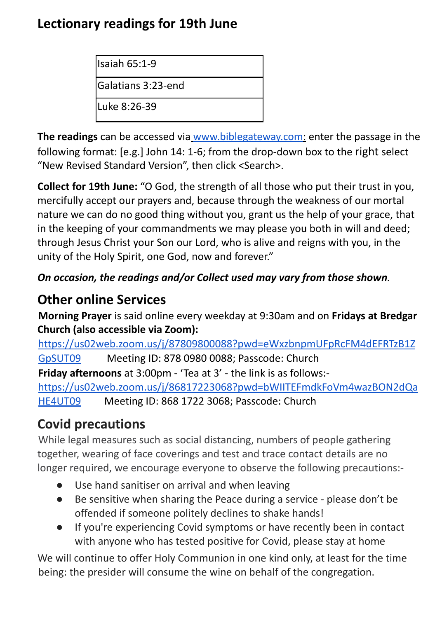### **Lectionary readings for 19th June**

Isaiah 65:1-9

Galatians 3:23-end

Luke 8:26-39

**The readings** can be accessed via www.biblegateway.com: enter the passage in the following format: [e.g.] John 14: 1-6; from the drop-down box to the right select "New Revised Standard Version", then click <Search>.

**Collect for 19th June:** "O God, the strength of all those who put their trust in you, mercifully accept our prayers and, because through the weakness of our mortal nature we can do no good thing without you, grant us the help of your grace, that in the keeping of your commandments we may please you both in will and deed; through Jesus Christ your Son our Lord, who is alive and reigns with you, in the unity of the Holy Spirit, one God, now and forever."

### *On occasion, the readings and/or Collect used may vary from those shown.*

## **Other online Services**

**Morning Prayer** is said online every weekday at 9:30am and on **Fridays at Bredgar Church (also accessible via Zoom):**

https://us02web.zoom.us/j/87809800088?pwd=eWxzbnpmUFpRcFM4dEFRTzB1Z GpSUT09 Meeting ID: 878 0980 0088; Passcode: Church **Friday afternoons** at 3:00pm - 'Tea at 3' - the link is as follows: https://us02web.zoom.us/j/86817223068?pwd=bWIITEFmdkFoVm4wazBON2dQa HE4UT09 Meeting ID: 868 1722 3068; Passcode: Church

## **Covid precautions**

While legal measures such as social distancing, numbers of people gathering together, wearing of face coverings and test and trace contact details are no longer required, we encourage everyone to observe the following precautions:-

- Use hand sanitiser on arrival and when leaving
- Be sensitive when sharing the Peace during a service please don't be offended if someone politely declines to shake hands!
- If you're experiencing Covid symptoms or have recently been in contact with anyone who has tested positive for Covid, please stay at home

We will continue to offer Holy Communion in one kind only, at least for the time being: the presider will consume the wine on behalf of the congregation.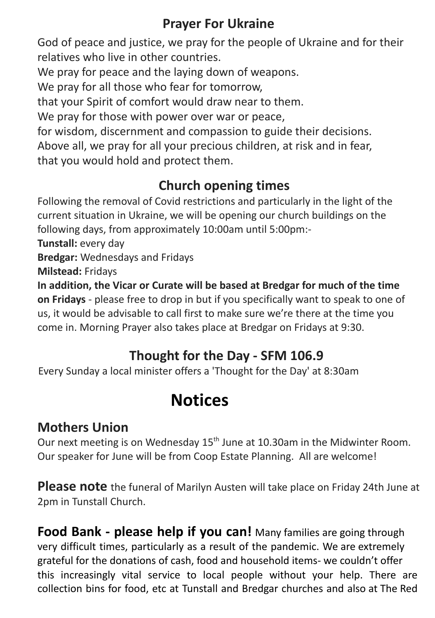### **Prayer For Ukraine**

God of peace and justice, we pray for the people of Ukraine and for their relatives who live in other countries.

We pray for peace and the laying down of weapons.

We pray for all those who fear for tomorrow,

that your Spirit of comfort would draw near to them.

We pray for those with power over war or peace,

for wisdom, discernment and compassion to guide their decisions. Above all, we pray for all your precious children, at risk and in fear, that you would hold and protect them.

## **Church opening times**

Following the removal of Covid restrictions and particularly in the light of the current situation in Ukraine, we will be opening our church buildings on the following days, from approximately 10:00am until 5:00pm:-

**Tunstall:** every day

**Bredgar:** Wednesdays and Fridays

**Milstead:** Fridays

**In addition, the Vicar or Curate will be based at Bredgar for much of the time on Fridays** - please free to drop in but if you specifically want to speak to one of us, it would be advisable to call first to make sure we're there at the time you come in. Morning Prayer also takes place at Bredgar on Fridays at 9:30.

## **Thought for the Day - SFM 106.9**

Every Sunday a local minister offers a 'Thought for the Day' at 8:30am

# **Notices**

## **Mothers Union**

Our next meeting is on Wednesday 15<sup>th</sup> June at 10.30am in the Midwinter Room. Our speaker for June will be from Coop Estate Planning. All are welcome!

**Please note** the funeral of Marilyn Austen will take place on Friday 24th June at 2pm in Tunstall Church.

**Food Bank - please help if you can!** Many families are going through very difficult times, particularly as a result of the pandemic. We are extremely grateful for the donations of cash, food and household items- we couldn't offer this increasingly vital service to local people without your help. There are collection bins for food, etc at Tunstall and Bredgar churches and also at The Red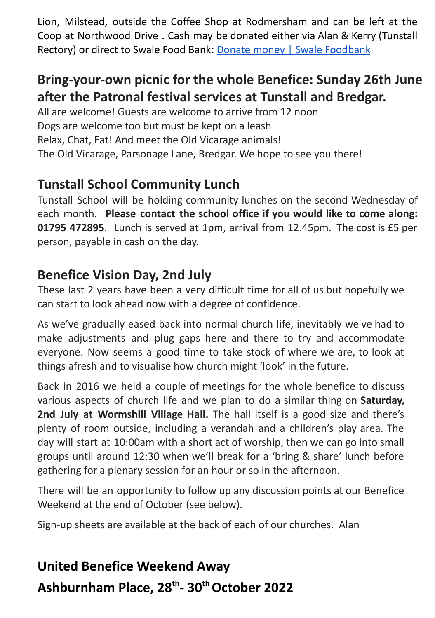Lion, Milstead, outside the Coffee Shop at Rodmersham and can be left at the Coop at Northwood Drive . Cash may be donated either via Alan & Kerry (Tunstall Rectory) or direct to Swale Food Bank: Donate money | Swale Foodbank

### **Bring-your-own picnic for the whole Benefice: Sunday 26th June after the Patronal festival services at Tunstall and Bredgar.**

All are welcome! Guests are welcome to arrive from 12 noon Dogs are welcome too but must be kept on a leash Relax, Chat, Eat! And meet the Old Vicarage animals! The Old Vicarage, Parsonage Lane, Bredgar. We hope to see you there!

### **Tunstall School Community Lunch**

Tunstall School will be holding community lunches on the second Wednesday of each month. **Please contact the school office if you would like to come along: 01795 472895**. Lunch is served at 1pm, arrival from 12.45pm. The cost is £5 per person, payable in cash on the day.

### **Benefice Vision Day, 2nd July**

These last 2 years have been a very difficult time for all of us but hopefully we can start to look ahead now with a degree of confidence.

As we've gradually eased back into normal church life, inevitably we've had to make adjustments and plug gaps here and there to try and accommodate everyone. Now seems a good time to take stock of where we are, to look at things afresh and to visualise how church might 'look' in the future.

Back in 2016 we held a couple of meetings for the whole benefice to discuss various aspects of church life and we plan to do a similar thing on **Saturday, 2nd July at Wormshill Village Hall.** The hall itself is a good size and there's plenty of room outside, including a verandah and a children's play area. The day will start at 10:00am with a short act of worship, then we can go into small groups until around 12:30 when we'll break for a 'bring & share' lunch before gathering for a plenary session for an hour or so in the afternoon.

There will be an opportunity to follow up any discussion points at our Benefice Weekend at the end of October (see below).

Sign-up sheets are available at the back of each of our churches. Alan

# **United Benefice Weekend Away Ashburnham Place, 28 th - 30 thOctober 2022**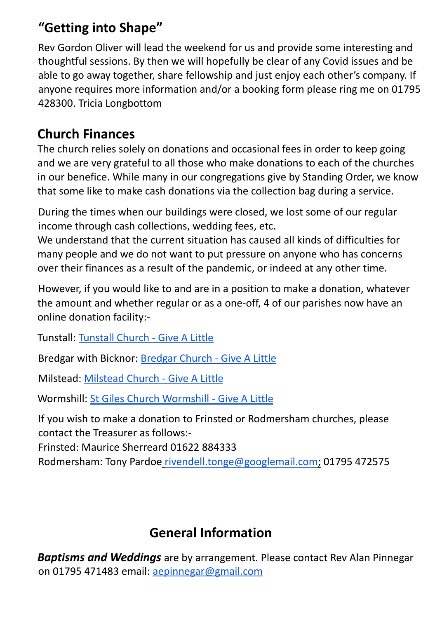### **"Getting into Shape"**

Rev Gordon Oliver will lead the weekend for us and provide some interesting and thoughtful sessions. By then we will hopefully be clear of any Covid issues and be able to go away together, share fellowship and just enjoy each other's company. If anyone requires more information and/or a booking form please ring me on 01795 428300. Tricia Longbottom

### **Church Finances**

The church relies solely on donations and occasional fees in order to keep going and we are very grateful to all those who make donations to each of the churches in our benefice. While many in our congregations give by Standing Order, we know that some like to make cash donations via the collection bag during a service.

During the times when our buildings were closed, we lost some of our regular income through cash collections, wedding fees, etc.

We understand that the current situation has caused all kinds of difficulties for many people and we do not want to put pressure on anyone who has concerns over their finances as a result of the pandemic, or indeed at any other time.

However, if you would like to and are in a position to make a donation, whatever the amount and whether regular or as a one-off, 4 of our parishes now have an online donation facility:-

Tunstall: Tunstall Church - Give A Little

Bredgar with Bicknor: Bredgar Church - Give A Little

Milstead: Milstead Church - Give A Little

Wormshill: St Giles Church Wormshill - Give A Little

If you wish to make a donation to Frinsted or Rodmersham churches, please contact the Treasurer as follows:-

Frinsted: Maurice Sherreard 01622 884333

Rodmersham: Tony Pardoe rivendell.tonge@googlemail.com; 01795 472575

## **General Information**

*Baptisms and Weddings* are by arrangement. Please contact Rev Alan Pinnegar on 01795 471483 email: aepinnegar@gmail.com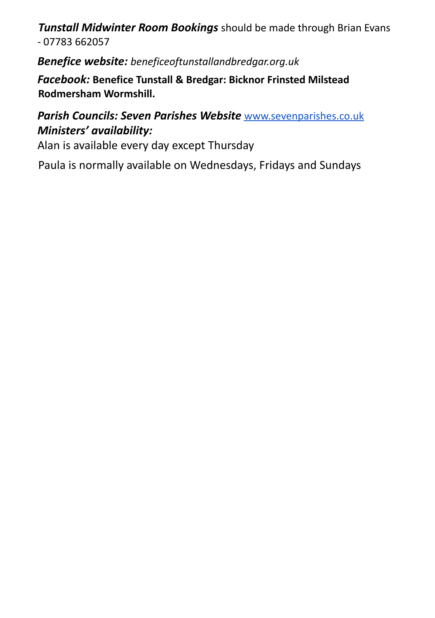*Tunstall Midwinter Room Bookings* should be made through Brian Evans - 07783 662057

*Benefice website: beneficeoftunstallandbredgar.org.uk*

*Facebook:* **Benefice Tunstall & Bredgar: Bicknor Frinsted Milstead Rodmersham Wormshill.**

#### *Parish Councils: Seven Parishes Website* www.sevenparishes.co.uk *Ministers' availability:*

Alan is available every day except Thursday

Paula is normally available on Wednesdays, Fridays and Sundays